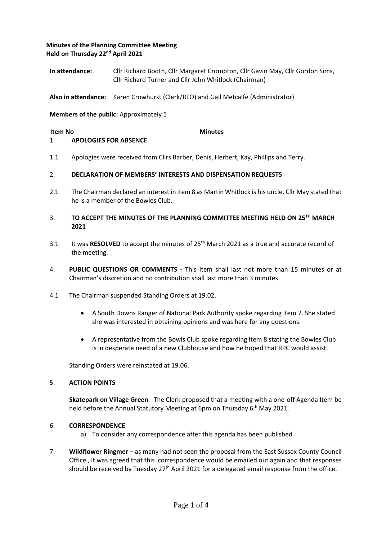### **Minutes of the Planning Committee Meeting Held on Thursday 22nd April 2021**

**In attendance:** Cllr Richard Booth, Cllr Margaret Crompton, Cllr Gavin May, Cllr Gordon Sims, Cllr Richard Turner and Cllr John Whitlock (Chairman)

**Also in attendance:** Karen Crowhurst (Clerk/RFO) and Gail Metcalfe (Administrator)

**Members of the public:** Approximately 5

#### **Item No Minutes**

#### 1. **APOLOGIES FOR ABSENCE**

1.1 Apologies were received from Cllrs Barber, Denis, Herbert, Kay, Phillips and Terry.

#### 2. **DECLARATION OF MEMBERS' INTERESTS AND DISPENSATION REQUESTS**

2.1 The Chairman declared an interest in item 8 as Martin Whitlock is his uncle. Cllr May stated that he is a member of the Bowles Club.

#### 3. **TO ACCEPT THE MINUTES OF THE PLANNING COMMITTEE MEETING HELD ON 25 TH MARCH 2021**

- 3.1 It was **RESOLVED** to accept the minutes of 25<sup>th</sup> March 2021 as a true and accurate record of the meeting.
- 4. **PUBLIC QUESTIONS OR COMMENTS -** This item shall last not more than 15 minutes or at Chairman's discretion and no contribution shall last more than 3 minutes.
- 4.1 The Chairman suspended Standing Orders at 19.02.
	- A South Downs Ranger of National Park Authority spoke regarding item 7. She stated she was interested in obtaining opinions and was here for any questions.
	- A representative from the Bowls Club spoke regarding item 8 stating the Bowles Club is in desperate need of a new Clubhouse and how he hoped that RPC would assist.

Standing Orders were reinstated at 19.06.

#### 5. **ACTION POINTS**

**Skatepark on Village Green** - The Clerk proposed that a meeting with a one-off Agenda Item be held before the Annual Statutory Meeting at 6pm on Thursday 6<sup>th</sup> May 2021.

#### 6. **CORRESPONDENCE**

- a) To consider any correspondence after this agenda has been published
- 7. **Wildflower Ringmer** – as many had not seen the proposal from the East Sussex County Council Office , it was agreed that this correspondence would be emailed out again and that responses should be received by Tuesday  $27<sup>th</sup>$  April 2021 for a delegated email response from the office.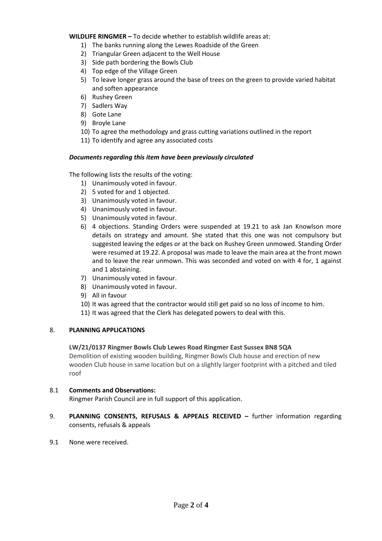**WILDLIFE RINGMER –** To decide whether to establish wildlife areas at:

- 1) The banks running along the Lewes Roadside of the Green
- 2) Triangular Green adjacent to the Well House
- 3) Side path bordering the Bowls Club
- 4) Top edge of the Village Green
- 5) To leave longer grass around the base of trees on the green to provide varied habitat and soften appearance
- 6) Rushey Green
- 7) Sadlers Way
- 8) Gote Lane
- 9) Broyle Lane
- 10) To agree the methodology and grass cutting variations outlined in the report
- 11) To identify and agree any associated costs

#### *Documents regarding this item have been previously circulated*

The following lists the results of the voting:

- 1) Unanimously voted in favour.
- 2) 5 voted for and 1 objected.
- 3) Unanimously voted in favour.
- 4) Unanimously voted in favour.
- 5) Unanimously voted in favour.
- 6) 4 objections. Standing Orders were suspended at 19.21 to ask Jan Knowlson more details on strategy and amount. She stated that this one was not compulsory but suggested leaving the edges or at the back on Rushey Green unmowed. Standing Order were resumed at 19.22. A proposal was made to leave the main area at the front mown and to leave the rear unmown. This was seconded and voted on with 4 for, 1 against and 1 abstaining.
- 7) Unanimously voted in favour.
- 8) Unanimously voted in favour.
- 9) All in favour
- 10) It was agreed that the contractor would still get paid so no loss of income to him.
- 11) It was agreed that the Clerk has delegated powers to deal with this.

### 8. **PLANNING APPLICATIONS**

### **LW/21/0137 Ringmer Bowls Club Lewes Road Ringmer East Sussex BN8 5QA**

Demolition of existing wooden building, Ringmer Bowls Club house and erection of new wooden Club house in same location but on a slightly larger footprint with a pitched and tiled roof

### 8.1 **Comments and Observations:**

Ringmer Parish Council are in full support of this application.

- 9. **PLANNING CONSENTS, REFUSALS & APPEALS RECEIVED –** further information regarding consents, refusals & appeals
- 9.1 None were received.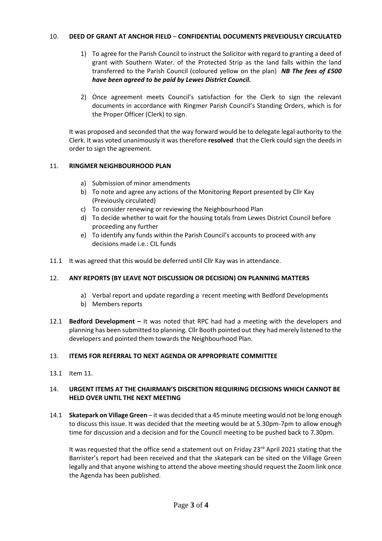#### 10. **DEED OF GRANT AT ANCHOR FIELD** – **CONFIDENTIAL DOCUMENTS PREVEIOUSLY CIRCULATED**

- 1) To agree for the Parish Council to instruct the Solicitor with regard to granting a deed of grant with Southern Water. of the Protected Strip as the land falls within the land transferred to the Parish Council (coloured yellow on the plan) *NB The fees of £500 have been agreed to be paid by Lewes District Council.*
- 2) Once agreement meets Council's satisfaction for the Clerk to sign the relevant documents in accordance with Ringmer Parish Council's Standing Orders, which is for the Proper Officer (Clerk) to sign.

It was proposed and seconded that the way forward would be to delegate legal authority to the Clerk. It was voted unanimously it was therefore **resolved** that the Clerk could sign the deeds in order to sign the agreement.

# 11. **RINGMER NEIGHBOURHOOD PLAN**

- a) Submission of minor amendments
- b) To note and agree any actions of the Monitoring Report presented by Cllr Kay (Previously circulated)
- c) To consider renewing or reviewing the Neighbourhood Plan
- d) To decide whether to wait for the housing totals from Lewes District Council before proceeding any further
- e) To identify any funds within the Parish Council's accounts to proceed with any decisions made i.e.: CIL funds
- 11.1 It was agreed that this would be deferred until Cllr Kay was in attendance.

# 12. **ANY REPORTS (BY LEAVE NOT DISCUSSION OR DECISION) ON PLANNING MATTERS**

- a) Verbal report and update regarding a recent meeting with Bedford Developments
- b) Members reports
- 12.1 **Bedford Development –** It was noted that RPC had had a meeting with the developers and planning has been submitted to planning. Cllr Booth pointed out they had merely listened to the developers and pointed them towards the Neighbourhood Plan.

# 13. **ITEMS FOR REFERRAL TO NEXT AGENDA OR APPROPRIATE COMMITTEE**

13.1 Item 11.

## 14. **URGENT ITEMS AT THE CHAIRMAN'S DISCRETION REQUIRING DECISIONS WHICH CANNOT BE HELD OVER UNTIL THE NEXT MEETING**

14.1 **Skatepark on Village Green** – it was decided that a 45 minute meeting would not be long enough to discuss this issue. It was decided that the meeting would be at 5.30pm-7pm to allow enough time for discussion and a decision and for the Council meeting to be pushed back to 7.30pm.

It was requested that the office send a statement out on Friday  $23<sup>rd</sup>$  April 2021 stating that the Barrister's report had been received and that the skatepark can be sited on the Village Green legally and that anyone wishing to attend the above meeting should request the Zoom link once the Agenda has been published.